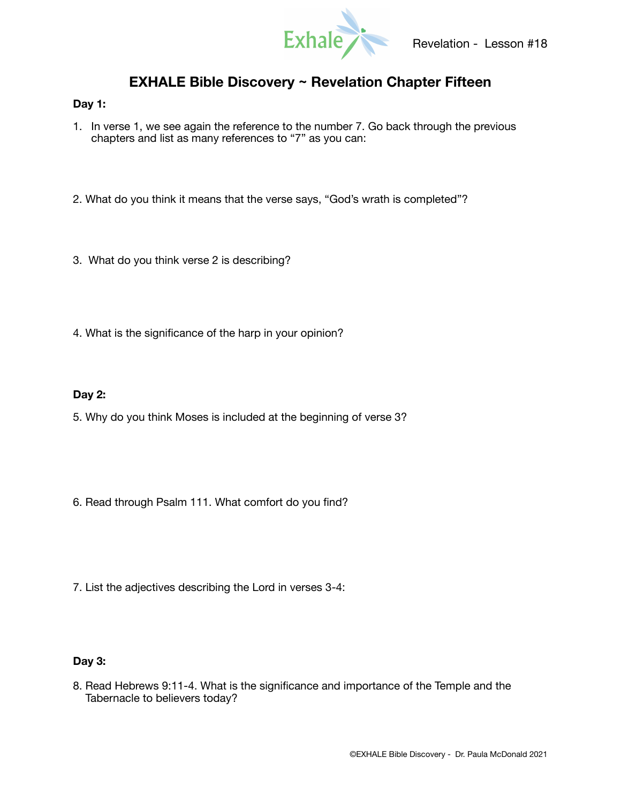

# **EXHALE Bible Discovery ~ Revelation Chapter Fifteen**

## **Day 1:**

- 1. In verse 1, we see again the reference to the number 7. Go back through the previous chapters and list as many references to "7" as you can:
- 2. What do you think it means that the verse says, "God's wrath is completed"?
- 3. What do you think verse 2 is describing?
- 4. What is the significance of the harp in your opinion?

## **Day 2:**

- 5. Why do you think Moses is included at the beginning of verse 3?
- 6. Read through Psalm 111. What comfort do you find?
- 7. List the adjectives describing the Lord in verses 3-4:

### **Day 3:**

8. Read Hebrews 9:11-4. What is the significance and importance of the Temple and the Tabernacle to believers today?